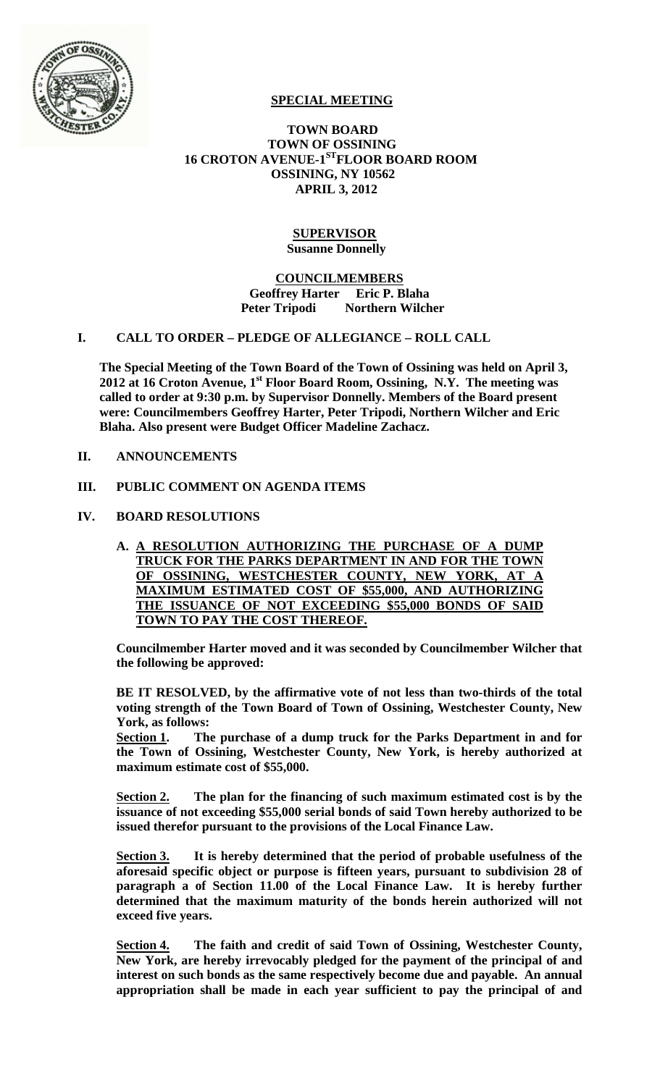

# **SPECIAL MEETING**

## **TOWN BOARD TOWN OF OSSINING 16 CROTON AVENUE-1STFLOOR BOARD ROOM OSSINING, NY 10562 APRIL 3, 2012**

## **SUPERVISOR Susanne Donnelly**

#### **COUNCILMEMBERS Geoffrey Harter Eric P. Blaha Peter Tripodi Northern Wilcher**

## **I. CALL TO ORDER – PLEDGE OF ALLEGIANCE – ROLL CALL**

**The Special Meeting of the Town Board of the Town of Ossining was held on April 3,**  2012 at 16 Croton Avenue, 1<sup>st</sup> Floor Board Room, Ossining, N.Y. The meeting was **called to order at 9:30 p.m. by Supervisor Donnelly. Members of the Board present were: Councilmembers Geoffrey Harter, Peter Tripodi, Northern Wilcher and Eric Blaha. Also present were Budget Officer Madeline Zachacz.**

## **II. ANNOUNCEMENTS**

## **III. PUBLIC COMMENT ON AGENDA ITEMS**

## **IV. BOARD RESOLUTIONS**

**A. A RESOLUTION AUTHORIZING THE PURCHASE OF A DUMP TRUCK FOR THE PARKS DEPARTMENT IN AND FOR THE TOWN OF OSSINING. WESTCHESTER COUNTY, NEW YORK, AT A** OF OSSINING, WESTCHESTER COUNTY, NEW YORK, AT **MAXIMUM ESTIMATED COST OF \$55,000, AND AUTHORIZING THE ISSUANCE OF NOT EXCEEDING \$55,000 BONDS OF SAID TOWN TO PAY THE COST THEREOF.**

**Councilmember Harter moved and it was seconded by Councilmember Wilcher that the following be approved:**

**BE IT RESOLVED, by the affirmative vote of not less than two-thirds of the total voting strength of the Town Board of Town of Ossining, Westchester County, New York, as follows:**

**Section 1. The purchase of a dump truck for the Parks Department in and for the Town of Ossining, Westchester County, New York, is hereby authorized at maximum estimate cost of \$55,000.** 

**Section 2. The plan for the financing of such maximum estimated cost is by the issuance of not exceeding \$55,000 serial bonds of said Town hereby authorized to be issued therefor pursuant to the provisions of the Local Finance Law.**

**Section 3. It is hereby determined that the period of probable usefulness of the aforesaid specific object or purpose is fifteen years, pursuant to subdivision 28 of paragraph a of Section 11.00 of the Local Finance Law. It is hereby further determined that the maximum maturity of the bonds herein authorized will not exceed five years.**

**Section 4. The faith and credit of said Town of Ossining, Westchester County, New York, are hereby irrevocably pledged for the payment of the principal of and interest on such bonds as the same respectively become due and payable. An annual appropriation shall be made in each year sufficient to pay the principal of and**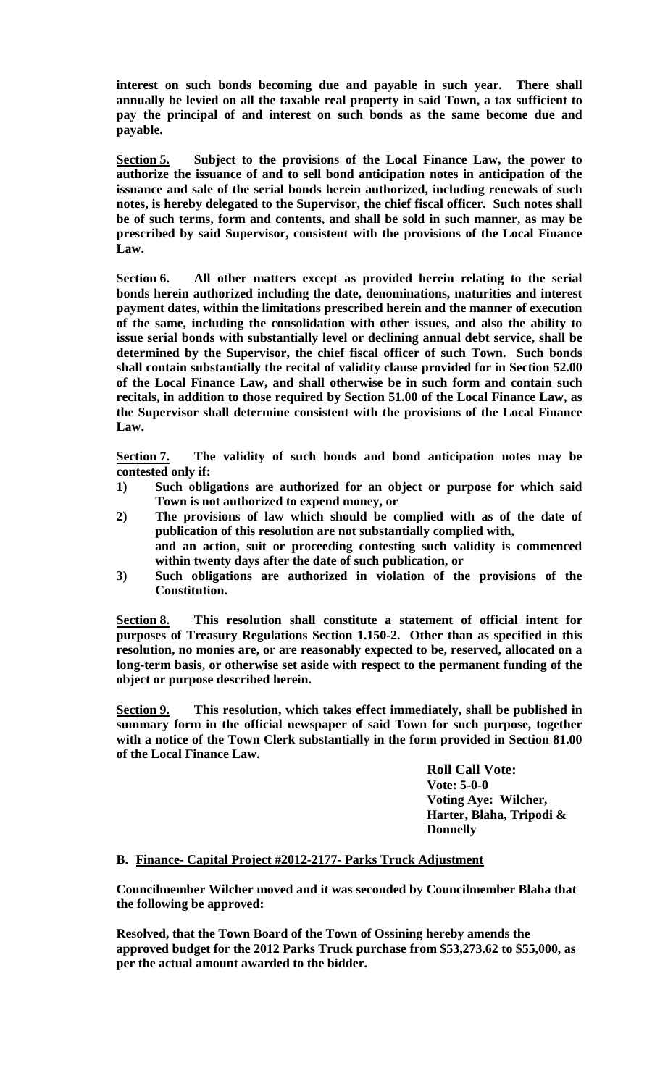**interest on such bonds becoming due and payable in such year. There shall annually be levied on all the taxable real property in said Town, a tax sufficient to pay the principal of and interest on such bonds as the same become due and payable.**

**Section 5. Subject to the provisions of the Local Finance Law, the power to authorize the issuance of and to sell bond anticipation notes in anticipation of the issuance and sale of the serial bonds herein authorized, including renewals of such notes, is hereby delegated to the Supervisor, the chief fiscal officer. Such notes shall be of such terms, form and contents, and shall be sold in such manner, as may be prescribed by said Supervisor, consistent with the provisions of the Local Finance Law.**

**Section 6. All other matters except as provided herein relating to the serial bonds herein authorized including the date, denominations, maturities and interest payment dates, within the limitations prescribed herein and the manner of execution of the same, including the consolidation with other issues, and also the ability to issue serial bonds with substantially level or declining annual debt service, shall be determined by the Supervisor, the chief fiscal officer of such Town. Such bonds shall contain substantially the recital of validity clause provided for in Section 52.00 of the Local Finance Law, and shall otherwise be in such form and contain such recitals, in addition to those required by Section 51.00 of the Local Finance Law, as the Supervisor shall determine consistent with the provisions of the Local Finance Law.**

**Section 7. The validity of such bonds and bond anticipation notes may be contested only if:**

- **1) Such obligations are authorized for an object or purpose for which said Town is not authorized to expend money, or**
- **2) The provisions of law which should be complied with as of the date of publication of this resolution are not substantially complied with, and an action, suit or proceeding contesting such validity is commenced within twenty days after the date of such publication, or**
- **3) Such obligations are authorized in violation of the provisions of the Constitution.**

**Section 8. This resolution shall constitute a statement of official intent for purposes of Treasury Regulations Section 1.150-2. Other than as specified in this resolution, no monies are, or are reasonably expected to be, reserved, allocated on a long-term basis, or otherwise set aside with respect to the permanent funding of the object or purpose described herein.**

**Section 9. This resolution, which takes effect immediately, shall be published in summary form in the official newspaper of said Town for such purpose, together with a notice of the Town Clerk substantially in the form provided in Section 81.00 of the Local Finance Law.**

> **Roll Call Vote: Vote: 5-0-0 Voting Aye: Wilcher, Harter, Blaha, Tripodi & Donnelly**

## **B. Finance- Capital Project #2012-2177- Parks Truck Adjustment**

**Councilmember Wilcher moved and it was seconded by Councilmember Blaha that the following be approved:**

**Resolved, that the Town Board of the Town of Ossining hereby amends the approved budget for the 2012 Parks Truck purchase from \$53,273.62 to \$55,000, as per the actual amount awarded to the bidder.**